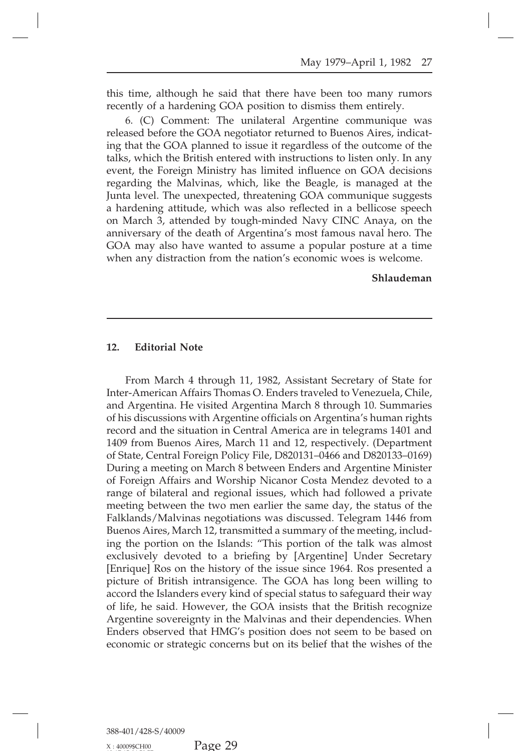May 1979–April 1, 1982 27<br>this time, although he said that there have been too many rumors<br>recently of a hardening GOA position to dismiss them entirely.<br>6. (C) Comment: The unilateral Argentine communique was

May 1979–April 1, 1982 21<br>this time, although he said that there have been too many rumor<br>recently of a hardening GOA position to dismiss them entirely.<br>6. (C) Comment: The unilateral Argentine communique wa<br>released befor May 1979–April 1, 1982 27<br>time, although he said that there have been too many rumors<br>ntly of a hardening GOA position to dismiss them entirely.<br>6. (C) Comment: The unilateral Argentine communique was<br>ased before the GOA n This time, although he said that there have been too many rumors<br>recently of a hardening GOA position to dismiss them entirely.<br>6. (C) Comment: The unilateral Argentine communique was<br>released before the GOA negotiator ret this time, although he said that there have been too many rumors<br>recently of a hardening GOA position to dismiss them entirely.<br>6. (C) Comment: The unilateral Argentine communique was<br>released before the GOA negotiator ret this time, although he said that there have been too many rumors<br>recently of a hardening GOA position to dismiss them entirely.<br>6. (C) Comment: The unilateral Argentine communique was<br>released before the GOA negotiator ret recently of a hardening GOA position to dismiss them entirely.<br>
6. (C) Comment: The unilateral Argentine communique was<br>
released before the GOA negotiator returned to Buenos Aires, indicat-<br>
ing that the GOA planned to is 6. (C) Comment: The unilateral Argentine communique was<br>released before the GOA negotiator returned to Buenos Aires, indicat-<br>ing that the GOA planned to issue it regardless of the outcome of the<br>talks, which the British e released before the GOA negotiator returned to Buenos Aires, indicating that the GOA planned to issue it regardless of the outcome of the talks, which the British entered with instructions to listen only. In any event, the ing that the GOA planned to issue it regardless of the outcome of the talks, which the British entered with instructions to listen only. In any event, the Foreign Ministry has limited influence on GOA decisions regarding t talks, which the British entered with instructions to listen only. In any<br>event, the Foreign Ministry has limited influence on GOA decisions<br>regarding the Malvinas, which, like the Beagle, is managed at the<br>Junta level. Th event, the Foreign Ministry has limited influence on GOA decisions<br>regarding the Malvinas, which, like the Beagle, is managed at the<br>Junta level. The unexpected, threatening GOA communique suggests<br>a hardening attitude, wh regarding the Malvinas, which, like the Beagle, is managed at the Junta level. The unexpected, threatening GOA communique suggests a hardening attitude, which was also reflected in a bellicose speech on March 3, attended b Junta level. The unexpected, threatening GOA communique suggests<br>a hardening attitude, which was also reflected in a bellicose speech<br>on March 3, attended by tough-minded Navy CINC Anaya, on the<br>anniversary of the death of

**Shlaudeman**

**12. Editorial Note<br>From March 4 through 11<br>Inter-American Affairs Thomas** Editorial Note<br>From March 4 through 11, 1982, Assistant Secretary of State for<br>T-American Affairs Thomas O. Enders traveled to Venezuela, Chile,<br>Argentina. He visited Argentina March 8 through 10. Summaries<br>is diametime wi **12. Editorial Note**<br>From March 4 through 11, 1982, Assistant Secretary of State for<br>Inter-American Affairs Thomas O. Enders traveled to Venezuela, Chile,<br>and Argentina. He visited Argentina March 8 through 10. Summaries 12. Editorial Note<br>From March 4 through 11, 1982, Assistant Secretary of State for<br>Inter-American Affairs Thomas O. Enders traveled to Venezuela, Chile,<br>and Argentina. He visited Argentina March 8 through 10. Summaries<br>of From March 4 through 11, 1982, Assistant Secretary of State for<br>Inter-American Affairs Thomas O. Enders traveled to Venezuela, Chile,<br>and Argentina. He visited Argentina March 8 through 10. Summaries<br>of his discussions wit From March 4 through 11, 1982, Assistant Secretary of State for Inter-American Affairs Thomas O. Enders traveled to Venezuela, Chile, and Argentina. He visited Argentina March 8 through 10. Summaries of his discussions wit From March 4 through 11, 1982, Assistant Secretary of State for<br>Inter-American Affairs Thomas O. Enders traveled to Venezuela, Chile,<br>and Argentina. He visited Argentina March 8 through 10. Summaries<br>of his discussions wit Inter-American Affairs Thomas O. Enders traveled to Venezuela, Chile, and Argentina. He visited Argentina March 8 through 10. Summaries of his discussions with Argentine officials on Argentina's human rights record and the and Argentina. He visited Argentina March 8 through 10. Summaries<br>of his discussions with Argentine officials on Argentina's human rights<br>record and the situation in Central America are in telegrams 1401 and<br>1409 from Buen of his discussions with Argentine officials on Argentina's human rights<br>record and the situation in Central America are in telegrams 1401 and<br>1409 from Buenos Aires, March 11 and 12, respectively. (Department<br>of State, Cen record and the situation in Central America are in telegrams 1401 and 1409 from Buenos Aires, March 11 and 12, respectively. (Department of State, Central Foreign Policy File, D820131–0466 and D820133–0169) During a meetin 1409 from Buenos Aires, March 11 and 12, respectively. (Department of State, Central Foreign Policy File, D820131–0466 and D820133–0169) During a meeting on March 8 between Enders and Argentine Minister of Foreign Affairs of State, Central Foreign Policy File, D820131–0466 and D820133–0169)<br>During a meeting on March 8 between Enders and Argentine Minister<br>of Foreign Affairs and Worship Nicanor Costa Mendez devoted to a<br>range of bilateral an During a meeting on March 8 between Enders and Argentine Minister<br>of Foreign Affairs and Worship Nicanor Costa Mendez devoted to a<br>range of bilateral and regional issues, which had followed a private<br>meeting between the tw of Foreign Affairs and Worship Nicanor Costa Mendez devoted to a<br>range of bilateral and regional issues, which had followed a private<br>meeting between the two men earlier the same day, the status of the<br>Falklands/Malvinas n range of bilateral and regional issues, which had followed a private meeting between the two men earlier the same day, the status of the Falklands/Malvinas negotiations was discussed. Telegram 1446 from Buenos Aires, March meeting between the two men earlier the same day, the status of the Falklands/Malvinas negotiations was discussed. Telegram 1446 from Buenos Aires, March 12, transmitted a summary of the meeting, including the portion on t Falklands/Malvinas negotiations was discussed. Telegram 1446 from<br>Buenos Aires, March 12, transmitted a summary of the meeting, includ-<br>ing the portion on the Islands: "This portion of the talk was almost<br>exclusively devot Buenos Aires, March 12, transmitted a summary of the meeting, includ-<br>ing the portion on the Islands: "This portion of the talk was almost<br>exclusively devoted to a briefing by [Argentine] Under Secretary<br>[Enrique] Ros on t ing the portion on the Islands: "This portion of the talk was almost exclusively devoted to a briefing by [Argentine] Under Secretary [Enrique] Ros on the history of the issue since 1964. Ros presented a picture of British exclusively devoted to a briefing by [Argentine] Under Secretary [Enrique] Ros on the history of the issue since 1964. Ros presented a picture of British intransigence. The GOA has long been willing to accord the Islanders [Enrique] Ros on the history of the issue since 1964. Ros presented a picture of British intransigence. The GOA has long been willing to accord the Islanders every kind of special status to safeguard their way of life, he picture of British intransigence. The GOA has long been willing to accord the Islanders every kind of special status to safeguard their way of life, he said. However, the GOA insists that the British recognize Argentine so